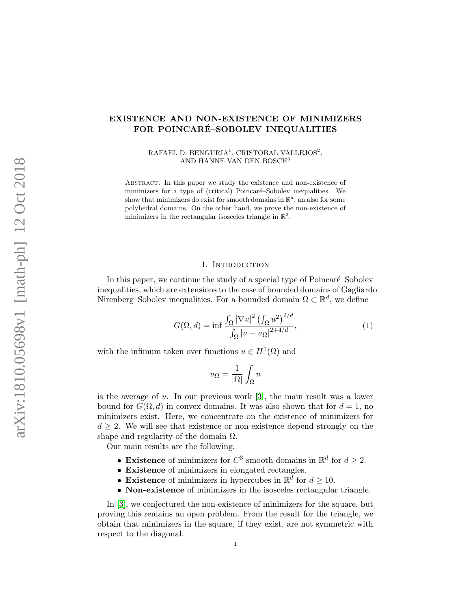# EXISTENCE AND NON-EXISTENCE OF MINIMIZERS FOR POINCARÉ–SOBOLEV INEQUALITIES

RAFAEL D. BENGURIA<sup>1</sup>, CRISTOBAL VALLEJOS<sup>2</sup>, AND HANNE VAN DEN BOSCH<sup>3</sup>

Abstract. In this paper we study the existence and non-existence of minimizers for a type of (critical) Poincaré–Sobolev inequalities. We show that minimizers do exist for smooth domains in  $\mathbb{R}^d$ , an also for some polyhedral domains. On the other hand, we prove the non-existence of minimizers in the rectangular isosceles triangle in  $\mathbb{R}^2$ .

### 1. INTRODUCTION

In this paper, we continue the study of a special type of Poincaré–Sobolev inequalities, which are extensions to the case of bounded domains of Gagliardo– Nirenberg–Sobolev inequalities. For a bounded domain  $\Omega \subset \mathbb{R}^d$ , we define

<span id="page-0-0"></span>
$$
G(\Omega, d) = \inf \frac{\int_{\Omega} |\nabla u|^2 \left(\int_{\Omega} u^2\right)^{2/d}}{\int_{\Omega} |u - u_{\Omega}|^{2 + 4/d}},\tag{1}
$$

with the infimum taken over functions  $u \in H^1(\Omega)$  and

$$
u_{\Omega} = \frac{1}{|\Omega|} \int_{\Omega} u
$$

is the average of  $u$ . In our previous work [\[3\]](#page-18-0), the main result was a lower bound for  $G(\Omega, d)$  in convex domains. It was also shown that for  $d = 1$ , no minimizers exist. Here, we concentrate on the existence of minimizers for  $d \geq 2$ . We will see that existence or non-existence depend strongly on the shape and regularity of the domain  $\Omega$ .

Our main results are the following.

- Existence of minimizers for  $C^3$ -smooth domains in  $\mathbb{R}^d$  for  $d \geq 2$ .
- Existence of minimizers in elongated rectangles.
- Existence of minimizers in hypercubes in  $\mathbb{R}^d$  for  $d \geq 10$ .
- Non-existence of minimizers in the isosceles rectangular triangle.

In [\[3\]](#page-18-0), we conjectured the non-existence of minimizers for the square, but proving this remains an open problem. From the result for the triangle, we obtain that minimizers in the square, if they exist, are not symmetric with respect to the diagonal.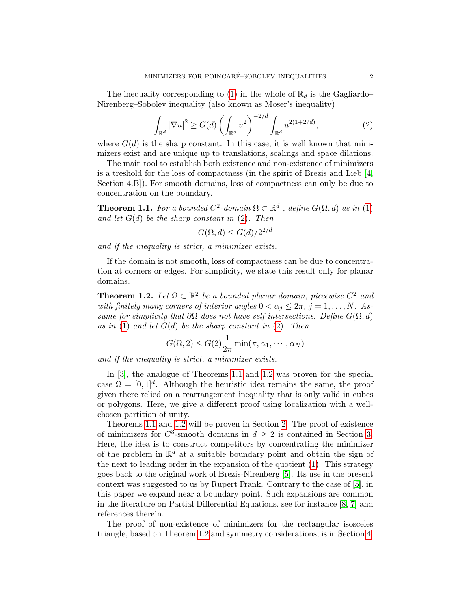The inequality corresponding to [\(1\)](#page-0-0) in the whole of  $\mathbb{R}_d$  is the Gagliardo– Nirenberg–Sobolev inequality (also known as Moser's inequality)

<span id="page-1-0"></span>
$$
\int_{\mathbb{R}^d} |\nabla u|^2 \ge G(d) \left( \int_{\mathbb{R}^d} u^2 \right)^{-2/d} \int_{\mathbb{R}^d} u^{2(1+2/d)},\tag{2}
$$

where  $G(d)$  is the sharp constant. In this case, it is well known that minimizers exist and are unique up to translations, scalings and space dilations.

The main tool to establish both existence and non-existence of minimizers is a treshold for the loss of compactness (in the spirit of Brezis and Lieb [\[4,](#page-18-1) Section 4.B]). For smooth domains, loss of compactness can only be due to concentration on the boundary.

<span id="page-1-1"></span>**Theorem 1.1.** For a bounded  $C^2$ -domain  $\Omega \subset \mathbb{R}^d$ , define  $G(\Omega, d)$  as in [\(1\)](#page-0-0) and let  $G(d)$  be the sharp constant in  $(2)$ . Then

$$
G(\Omega, d) \le G(d)/2^{2/d}
$$

and if the inequality is strict, a minimizer exists.

If the domain is not smooth, loss of compactness can be due to concentration at corners or edges. For simplicity, we state this result only for planar domains.

<span id="page-1-2"></span>**Theorem 1.2.** Let  $\Omega \subset \mathbb{R}^2$  be a bounded planar domain, piecewise  $C^2$  and with finitely many corners of interior angles  $0 < \alpha_j \leq 2\pi$ ,  $j = 1, \ldots, N$ . Assume for simplicity that  $\partial\Omega$  does not have self-intersections. Define  $G(\Omega, d)$ as in [\(1\)](#page-0-0) and let  $G(d)$  be the sharp constant in [\(2\)](#page-1-0). Then

$$
G(\Omega, 2) \leq G(2) \frac{1}{2\pi} \min(\pi, \alpha_1, \cdots, \alpha_N)
$$

and if the inequality is strict, a minimizer exists.

In [\[3\]](#page-18-0), the analogue of Theorems [1.1](#page-1-1) and [1.2](#page-1-2) was proven for the special case  $\Omega = [0, 1]^d$ . Although the heuristic idea remains the same, the proof given there relied on a rearrangement inequality that is only valid in cubes or polygons. Here, we give a different proof using localization with a wellchosen partition of unity.

Theorems [1.1](#page-1-1) and [1.2](#page-1-2) will be proven in Section [2.](#page-2-0) The proof of existence of minimizers for  $C^3$ -smooth domains in  $d \geq 2$  is contained in Section [3.](#page-9-0) Here, the idea is to construct competitors by concentrating the minimizer of the problem in  $\mathbb{R}^d$  at a suitable boundary point and obtain the sign of the next to leading order in the expansion of the quotient [\(1\)](#page-0-0). This strategy goes back to the original work of Brezis-Nirenberg [\[5\]](#page-18-2). Its use in the present context was suggested to us by Rupert Frank. Contrary to the case of [\[5\]](#page-18-2), in this paper we expand near a boundary point. Such expansions are common in the literature on Partial Differential Equations, see for instance [\[8,](#page-19-0) [7\]](#page-19-1) and references therein.

The proof of non-existence of minimizers for the rectangular isosceles triangle, based on Theorem [1.2](#page-1-2) and symmetry considerations, is in Section [4.](#page-14-0)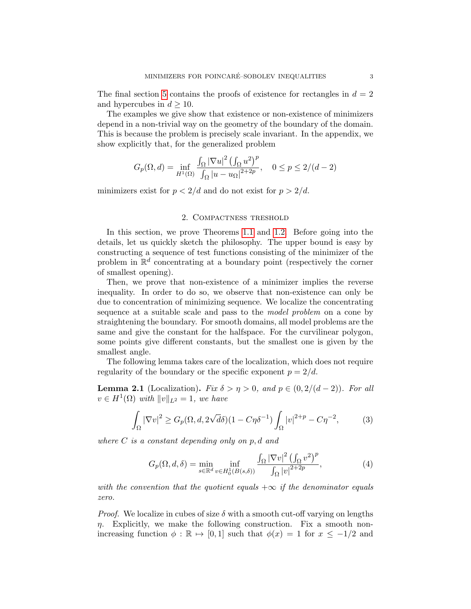The final section [5](#page-15-0) contains the proofs of existence for rectangles in  $d = 2$ and hypercubes in  $d \geq 10$ .

The examples we give show that existence or non-existence of minimizers depend in a non-trivial way on the geometry of the boundary of the domain. This is because the problem is precisely scale invariant. In the appendix, we show explicitly that, for the generalized problem

$$
G_p(\Omega,d)=\inf_{H^1(\Omega)}\frac{\int_{\Omega}|\nabla u|^2\left(\int_{\Omega}u^2\right)^p}{\int_{\Omega}|u-u_{\Omega}|^{2+2p}},\quad 0\leq p\leq 2/(d-2)
$$

minimizers exist for  $p < 2/d$  and do not exist for  $p > 2/d$ .

### 2. Compactness treshold

<span id="page-2-0"></span>In this section, we prove Theorems [1.1](#page-1-1) and [1.2.](#page-1-2) Before going into the details, let us quickly sketch the philosophy. The upper bound is easy by constructing a sequence of test functions consisting of the minimizer of the problem in  $\mathbb{R}^d$  concentrating at a boundary point (respectively the corner of smallest opening).

Then, we prove that non-existence of a minimizer implies the reverse inequality. In order to do so, we observe that non-existence can only be due to concentration of minimizing sequence. We localize the concentrating sequence at a suitable scale and pass to the model problem on a cone by straightening the boundary. For smooth domains, all model problems are the same and give the constant for the halfspace. For the curvilinear polygon, some points give different constants, but the smallest one is given by the smallest angle.

The following lemma takes care of the localization, which does not require regularity of the boundary or the specific exponent  $p = 2/d$ .

<span id="page-2-1"></span>**Lemma 2.1** (Localization). Fix  $\delta > \eta > 0$ , and  $p \in (0, 2/(d-2))$ . For all  $v \in H^1(\Omega)$  with  $||v||_{L^2} = 1$ , we have

$$
\int_{\Omega} |\nabla v|^2 \ge G_p(\Omega, d, 2\sqrt{d\delta})(1 - C\eta \delta^{-1}) \int_{\Omega} |v|^{2+p} - C\eta^{-2},\tag{3}
$$

where  $C$  is a constant depending only on  $p, d$  and

<span id="page-2-2"></span>
$$
G_p(\Omega, d, \delta) = \min_{s \in \mathbb{R}^d} \inf_{v \in H_0^1(B(s, \delta))} \frac{\int_{\Omega} |\nabla v|^2 \left(\int_{\Omega} v^2\right)^p}{\int_{\Omega} |v|^{2+2p}},\tag{4}
$$

with the convention that the quotient equals  $+\infty$  if the denominator equals zero.

*Proof.* We localize in cubes of size  $\delta$  with a smooth cut-off varying on lengths  $\eta$ . Explicitly, we make the following construction. Fix a smooth nonincreasing function  $\phi : \mathbb{R} \mapsto [0, 1]$  such that  $\phi(x) = 1$  for  $x \le -1/2$  and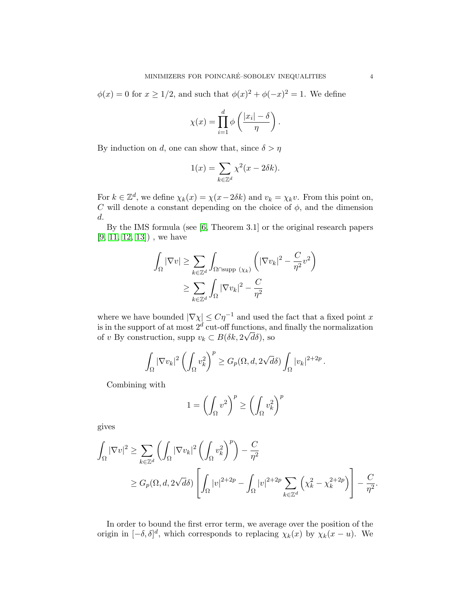$\phi(x) = 0$  for  $x \ge 1/2$ , and such that  $\phi(x)^2 + \phi(-x)^2 = 1$ . We define

$$
\chi(x) = \prod_{i=1}^d \phi\left(\frac{|x_i| - \delta}{\eta}\right).
$$

By induction on d, one can show that, since  $\delta > \eta$ 

$$
1(x) = \sum_{k \in \mathbb{Z}^d} \chi^2(x - 2\delta k).
$$

For  $k \in \mathbb{Z}^d$ , we define  $\chi_k(x) = \chi(x - 2\delta k)$  and  $v_k = \chi_k v$ . From this point on, C will denote a constant depending on the choice of  $\phi$ , and the dimension d.

By the IMS formula (see [\[6,](#page-18-3) Theorem 3.1] or the original research papers  $[9, 11, 12, 13]$  $[9, 11, 12, 13]$  $[9, 11, 12, 13]$  $[9, 11, 12, 13]$ , we have

$$
\int_{\Omega} |\nabla v| \ge \sum_{k \in \mathbb{Z}^d} \int_{\Omega \cap \text{supp } (\chi_k)} \left( |\nabla v_k|^2 - \frac{C}{\eta^2} v^2 \right) \le \sum_{k \in \mathbb{Z}^d} \int_{\Omega} |\nabla v_k|^2 - \frac{C}{\eta^2}
$$

where we have bounded  $|\nabla \chi| \leq C\eta^{-1}$  and used the fact that a fixed point x is in the support of at most  $2^d$  cut-off functions, and finally the normalization of v By construction, supp  $v_k \subset B(\delta k, 2\sqrt{d\delta})$ , so

$$
\int_{\Omega} |\nabla v_k|^2 \left( \int_{\Omega} v_k^2 \right)^p \ge G_p(\Omega, d, 2\sqrt{d\delta}) \int_{\Omega} |v_k|^{2+2p}
$$

.

.

Combining with

$$
1 = \left(\int_{\Omega} v^2\right)^p \ge \left(\int_{\Omega} v_k^2\right)^p
$$

gives

$$
\int_{\Omega} |\nabla v|^2 \ge \sum_{k \in \mathbb{Z}^d} \left( \int_{\Omega} |\nabla v_k|^2 \left( \int_{\Omega} v_k^2 \right)^p \right) - \frac{C}{\eta^2}
$$
\n
$$
\ge G_p(\Omega, d, 2\sqrt{d\delta}) \left[ \int_{\Omega} |v|^{2+2p} - \int_{\Omega} |v|^{2+2p} \sum_{k \in \mathbb{Z}^d} \left( \chi_k^2 - \chi_k^{2+2p} \right) \right] - \frac{C}{\eta^2}
$$

In order to bound the first error term, we average over the position of the origin in  $[-\delta, \delta]^d$ , which corresponds to replacing  $\chi_k(x)$  by  $\chi_k(x - u)$ . We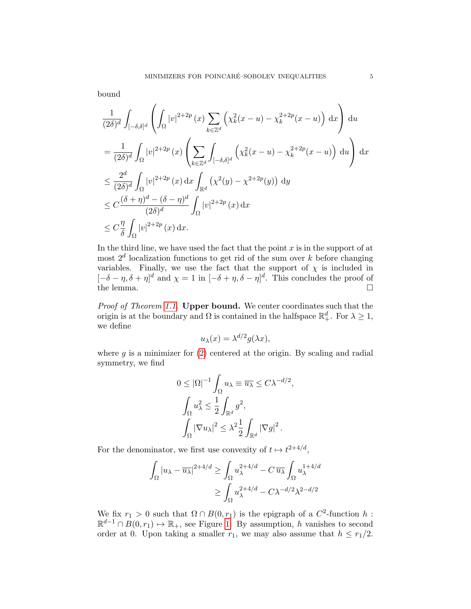bound

$$
\frac{1}{(2\delta)^d} \int_{[-\delta,\delta]^d} \left( \int_{\Omega} |v|^{2+2p} (x) \sum_{k \in \mathbb{Z}^d} \left( \chi_k^2(x-u) - \chi_k^{2+2p}(x-u) \right) dx \right) du
$$
  
\n
$$
= \frac{1}{(2\delta)^d} \int_{\Omega} |v|^{2+2p} (x) \left( \sum_{k \in \mathbb{Z}^d} \int_{[-\delta,\delta]^d} \left( \chi_k^2(x-u) - \chi_k^{2+2p}(x-u) \right) du \right) dx
$$
  
\n
$$
\leq \frac{2^d}{(2\delta)^d} \int_{\Omega} |v|^{2+2p} (x) dx \int_{\mathbb{R}^d} \left( \chi^2(y) - \chi^{2+2p}(y) \right) dy
$$
  
\n
$$
\leq C \frac{(\delta+\eta)^d - (\delta-\eta)^d}{(2\delta)^d} \int_{\Omega} |v|^{2+2p} (x) dx
$$
  
\n
$$
\leq C \frac{\eta}{\delta} \int_{\Omega} |v|^{2+2p} (x) dx.
$$

In the third line, we have used the fact that the point  $x$  is in the support of at most  $2<sup>d</sup>$  localization functions to get rid of the sum over k before changing variables. Finally, we use the fact that the support of  $\chi$  is included in  $[-\delta - \eta, \delta + \eta]^d$  and  $\chi = 1$  in  $[-\delta + \eta, \delta - \eta]^d$ . This concludes the proof of the lemma.  $\square$ 

Proof of Theorem [1.1.](#page-1-1) **Upper bound.** We center coordinates such that the origin is at the boundary and  $\Omega$  is contained in the halfspace  $\mathbb{R}^d_+$ . For  $\lambda \geq 1$ , we define

$$
u_{\lambda}(x) = \lambda^{d/2} g(\lambda x),
$$

where  $g$  is a minimizer for  $(2)$  centered at the origin. By scaling and radial symmetry, we find

$$
0 \leq |\Omega|^{-1} \int_{\Omega} u_{\lambda} \equiv \overline{u_{\lambda}} \leq C \lambda^{-d/2},
$$

$$
\int_{\Omega} u_{\lambda}^{2} \leq \frac{1}{2} \int_{\mathbb{R}^{d}} g^{2},
$$

$$
\int_{\Omega} |\nabla u_{\lambda}|^{2} \leq \lambda^{2} \frac{1}{2} \int_{\mathbb{R}^{d}} |\nabla g|^{2}.
$$

For the denominator, we first use convexity of  $t \mapsto t^{2+4/d}$ ,

$$
\int_{\Omega} |u_{\lambda} - \overline{u_{\lambda}}|^{2+4/d} \ge \int_{\Omega} u_{\lambda}^{2+4/d} - C \, \overline{u_{\lambda}} \int_{\Omega} u_{\lambda}^{1+4/d}
$$

$$
\ge \int_{\Omega} u_{\lambda}^{2+4/d} - C \lambda^{-d/2} \lambda^{2-d/2}
$$

We fix  $r_1 > 0$  such that  $\Omega \cap B(0, r_1)$  is the epigraph of a  $C^2$ -function h:  $\mathbb{R}^{d-1} \cap B(0,r_1) \mapsto \mathbb{R}_+$ , see Figure [1.](#page-5-0) By assumption, h vanishes to second order at 0. Upon taking a smaller  $r_1$ , we may also assume that  $h \leq r_1/2$ .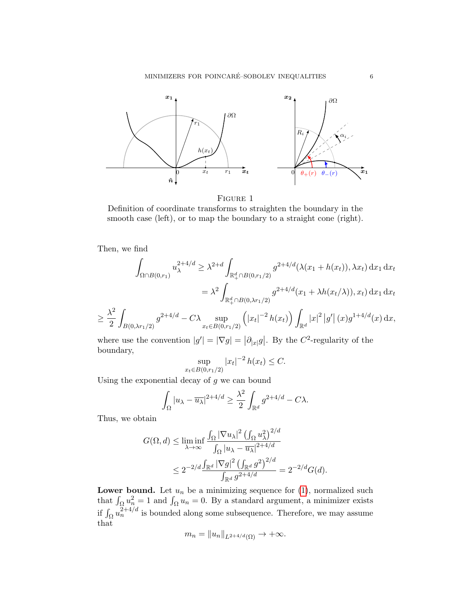MINIMIZERS FOR POINCARÉ–SOBOLEV INEQUALITIES  $\hfill 6$ 

<span id="page-5-0"></span>

FIGURE 1

Definition of coordinate transforms to straighten the boundary in the smooth case (left), or to map the boundary to a straight cone (right).

Then, we find

$$
\int_{\Omega \cap B(0,r_1)} u_{\lambda}^{2+4/d} \geq \lambda^{2+d} \int_{\mathbb{R}_+^d \cap B(0,r_1/2)} g^{2+4/d}(\lambda(x_1 + h(x_t)), \lambda x_t) \,dx_1 \,dx_t
$$

$$
= \lambda^2 \int_{\mathbb{R}_+^d \cap B(0,\lambda r_1/2)} g^{2+4/d}(x_1 + \lambda h(x_t/\lambda)), x_t) \,dx_1 \,dx_t
$$

$$
\geq \frac{\lambda^2}{2} \int_{B(0,\lambda r_1/2)} g^{2+4/d} - C\lambda \sup_{x_t \in B(0,r_1/2)} \left( |x_t|^{-2} h(x_t) \right) \int_{\mathbb{R}^d} |x|^2 |g'| (x) g^{1+4/d}(x) dx,
$$

where use the convention  $|g'| = |\nabla g| = |\partial_{|x|} g|$ . By the C<sup>2</sup>-regularity of the boundary,

$$
\sup_{x_t \in B(0,r_1/2)} |x_t|^{-2} h(x_t) \le C.
$$

Using the exponential decay of  $g$  we can bound

$$
\int_{\Omega} |u_{\lambda} - \overline{u_{\lambda}}|^{2+4/d} \ge \frac{\lambda^2}{2} \int_{\mathbb{R}^d} g^{2+4/d} - C\lambda.
$$

Thus, we obtain

$$
G(\Omega, d) \le \liminf_{\lambda \to \infty} \frac{\int_{\Omega} |\nabla u_{\lambda}|^2 \left(\int_{\Omega} u_{\lambda}^2\right)^{2/d}}{\int_{\Omega} |u_{\lambda} - \overline{u_{\lambda}}|^{2+4/d}}
$$
  

$$
\leq 2^{-2/d} \frac{\int_{\mathbb{R}^d} |\nabla g|^2 \left(\int_{\mathbb{R}^d} g^2\right)^{2/d}}{\int_{\mathbb{R}^d} g^{2+4/d}} = 2^{-2/d} G(d).
$$

**Lower bound.** Let  $u_n$  be a minimizing sequence for  $(1)$ , normalized such that  $\int_{\Omega} u_n^2 = 1$  and  $\int_{\Omega} u_n = 0$ . By a standard argument, a minimizer exists if  $\int_{\Omega} u_n^{2+4/d}$  is bounded along some subsequence. Therefore, we may assume that

$$
m_n = \|u_n\|_{L^{2+4/d}(\Omega)} \to +\infty.
$$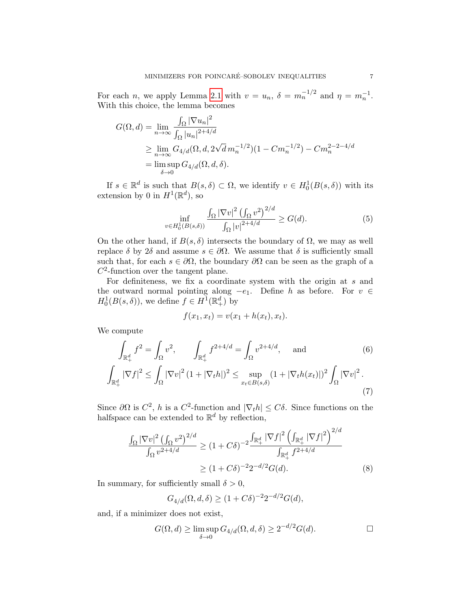For each *n*, we apply Lemma [2.1](#page-2-1) with  $v = u_n$ ,  $\delta = m_n^{-1/2}$  and  $\eta = m_n^{-1}$ . With this choice, the lemma becomes

$$
G(\Omega, d) = \lim_{n \to \infty} \frac{\int_{\Omega} |\nabla u_n|^2}{\int_{\Omega} |u_n|^{2+4/d}}
$$
  
\n
$$
\geq \lim_{n \to \infty} G_{4/d}(\Omega, d, 2\sqrt{d} m_n^{-1/2})(1 - C m_n^{-1/2}) - C m_n^{2-2-4/d}
$$
  
\n
$$
= \limsup_{\delta \to 0} G_{4/d}(\Omega, d, \delta).
$$

If  $s \in \mathbb{R}^d$  is such that  $B(s,\delta) \subset \Omega$ , we identify  $v \in H_0^1(B(s,\delta))$  with its extension by 0 in  $H^1(\mathbb{R}^d)$ , so

$$
\inf_{v \in H_0^1(B(s,\delta))} \frac{\int_{\Omega} |\nabla v|^2 \left(\int_{\Omega} v^2\right)^{2/d}}{\int_{\Omega} |v|^{2+4/d}} \ge G(d). \tag{5}
$$

On the other hand, if  $B(s, \delta)$  intersects the boundary of  $\Omega$ , we may as well replace δ by 2δ and assume  $s \in \partial \Omega$ . We assume that δ is sufficiently small such that, for each  $s \in \partial\Omega$ , the boundary  $\partial\Omega$  can be seen as the graph of a  $C^2$ -function over the tangent plane.

For definiteness, we fix a coordinate system with the origin at s and the outward normal pointing along  $-e_1$ . Define h as before. For  $v \in$  $H_0^1(B(s,\delta))$ , we define  $f \in H^1(\mathbb{R}^d_+)$  by

$$
f(x_1, x_t) = v(x_1 + h(x_t), x_t).
$$

We compute

$$
\int_{\mathbb{R}^d_+} f^2 = \int_{\Omega} v^2, \qquad \int_{\mathbb{R}^d_+} f^{2+4/d} = \int_{\Omega} v^{2+4/d}, \quad \text{and} \tag{6}
$$
\n
$$
\int_{\mathbb{R}^d_+} |\nabla f|^2 \le \int_{\Omega} |\nabla v|^2 (1 + |\nabla_t h|)^2 \le \sup_{x_t \in B(s,\delta)} (1 + |\nabla_t h(x_t)|)^2 \int_{\Omega} |\nabla v|^2. \tag{7}
$$

Since  $\partial\Omega$  is  $C^2$ , h is a  $C^2$ -function and  $|\nabla_t h| \leq C\delta$ . Since functions on the halfspace can be extended to  $\mathbb{R}^d$  by reflection,

$$
\frac{\int_{\Omega} |\nabla v|^2 \left(\int_{\Omega} v^2\right)^{2/d}}{\int_{\Omega} v^{2+4/d}} \ge (1+C\delta)^{-2} \frac{\int_{\mathbb{R}_+^d} |\nabla f|^2 \left(\int_{\mathbb{R}_+^d} |\nabla f|^2\right)^{2/d}}{\int_{\mathbb{R}_+^d} f^{2+4/d}}
$$
  
 
$$
\ge (1+C\delta)^{-2} 2^{-d/2} G(d). \tag{8}
$$

In summary, for sufficiently small  $\delta > 0$ ,

<span id="page-6-0"></span>
$$
G_{4/d}(\Omega, d, \delta) \ge (1 + C\delta)^{-2} 2^{-d/2} G(d),
$$

and, if a minimizer does not exist,

$$
G(\Omega, d) \ge \limsup_{\delta \to 0} G_{4/d}(\Omega, d, \delta) \ge 2^{-d/2} G(d). \square
$$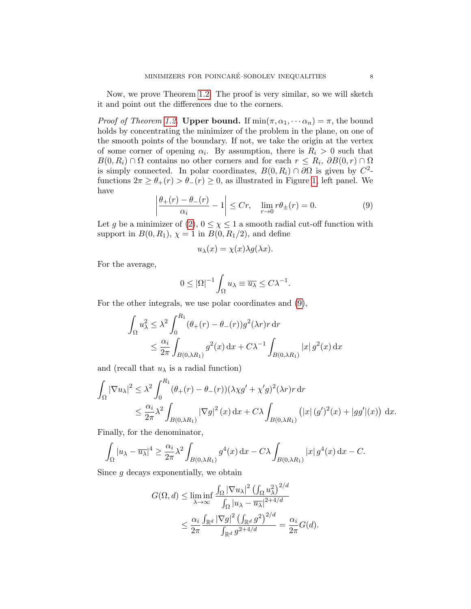Now, we prove Theorem [1.2.](#page-1-2) The proof is very similar, so we will sketch it and point out the differences due to the corners.

*Proof of Theorem [1.2.](#page-1-2)* Upper bound. If  $min(\pi, \alpha_1, \cdots, \alpha_n) = \pi$ , the bound holds by concentrating the minimizer of the problem in the plane, on one of the smooth points of the boundary. If not, we take the origin at the vertex of some corner of opening  $\alpha_i$ . By assumption, there is  $R_i > 0$  such that  $B(0, R_i) \cap \Omega$  contains no other corners and for each  $r \leq R_i$ ,  $\partial B(0, r) \cap \Omega$ is simply connected. In polar coordinates,  $B(0, R_i) \cap \partial\Omega$  is given by  $C^2$ functions  $2\pi \geq \theta_+(r) > \theta_-(r) \geq 0$ , as illustrated in Figure [1,](#page-5-0) left panel. We have

<span id="page-7-0"></span>
$$
\left|\frac{\theta_+(r) - \theta_-(r)}{\alpha_i} - 1\right| \le Cr, \quad \lim_{r \to 0} r\theta_\pm(r) = 0. \tag{9}
$$

Let g be a minimizer of  $(2)$ ,  $0 \leq \chi \leq 1$  a smooth radial cut-off function with support in  $B(0, R_1)$ ,  $\chi = 1$  in  $B(0, R_1/2)$ , and define

$$
u_{\lambda}(x) = \chi(x)\lambda g(\lambda x).
$$

For the average,

$$
0 \leq |\Omega|^{-1} \int_{\Omega} u_{\lambda} \equiv \overline{u_{\lambda}} \leq C \lambda^{-1}.
$$

For the other integrals, we use polar coordinates and [\(9\)](#page-7-0),

$$
\int_{\Omega} u_{\lambda}^2 \leq \lambda^2 \int_0^{R_1} (\theta_+(r) - \theta_-(r)) g^2(\lambda r) r \, dr
$$
  

$$
\leq \frac{\alpha_i}{2\pi} \int_{B(0,\lambda R_1)} g^2(x) \, dx + C\lambda^{-1} \int_{B(0,\lambda R_1)} |x| g^2(x) \, dx
$$

and (recall that  $u_{\lambda}$  is a radial function)

$$
\int_{\Omega} |\nabla u_{\lambda}|^2 \leq \lambda^2 \int_0^{R_1} (\theta_+(r) - \theta_-(r)) (\lambda \chi g' + \chi' g)^2 (\lambda r) r \, dr
$$
  

$$
\leq \frac{\alpha_i}{2\pi} \lambda^2 \int_{B(0,\lambda R_1)} |\nabla g|^2(x) dx + C\lambda \int_{B(0,\lambda R_1)} (|x| (g')^2(x) + |gg'| (x)) dx.
$$

Finally, for the denominator,

$$
\int_{\Omega} |u_{\lambda} - \overline{u_{\lambda}}|^4 \ge \frac{\alpha_i}{2\pi} \lambda^2 \int_{B(0,\lambda R_1)} g^4(x) dx - C\lambda \int_{B(0,\lambda R_1)} |x| g^4(x) dx - C.
$$

Since  $g$  decays exponentially, we obtain

$$
G(\Omega, d) \leq \liminf_{\lambda \to \infty} \frac{\int_{\Omega} |\nabla u_{\lambda}|^2 (\int_{\Omega} u_{\lambda}^2)^{2/d}}{\int_{\Omega} |u_{\lambda} - \overline{u_{\lambda}}|^{2+4/d}}
$$
  

$$
\leq \frac{\alpha_i}{2\pi} \frac{\int_{\mathbb{R}^d} |\nabla g|^2 (\int_{\mathbb{R}^d} g^2)^{2/d}}{\int_{\mathbb{R}^d} g^{2+4/d}} = \frac{\alpha_i}{2\pi} G(d).
$$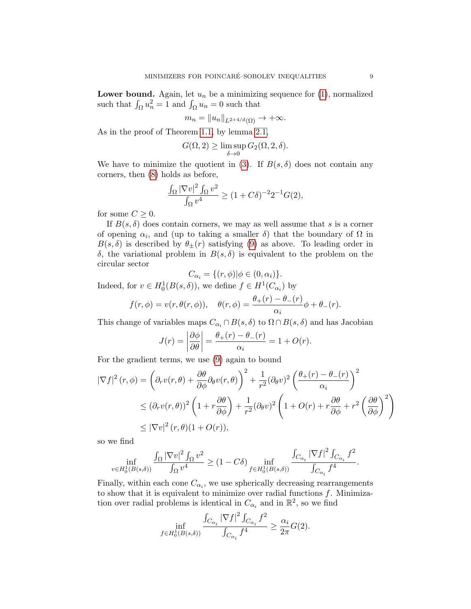**Lower bound.** Again, let  $u_n$  be a minimizing sequence for  $(1)$ , normalized such that  $\int_{\Omega} u_n^2 = 1$  and  $\int_{\Omega} u_n = 0$  such that

$$
m_n = \|u_n\|_{L^{2+4/d}(\Omega)} \to +\infty.
$$

As in the proof of Theorem [1.1,](#page-1-1) by lemma [2.1,](#page-2-1)

$$
G(\Omega, 2) \ge \limsup_{\delta \to 0} G_2(\Omega, 2, \delta).
$$

We have to minimize the quotient in [\(3\)](#page-2-2). If  $B(s, \delta)$  does not contain any corners, then [\(8\)](#page-6-0) holds as before,

$$
\frac{\int_{\Omega} |\nabla v|^2 \int_{\Omega} v^2}{\int_{\Omega} v^4} \ge (1 + C\delta)^{-2} 2^{-1} G(2),
$$

for some  $C \geq 0$ .

If  $B(s, \delta)$  does contain corners, we may as well assume that s is a corner of opening  $\alpha_i$ , and (up to taking a smaller  $\delta$ ) that the boundary of  $\Omega$  in  $B(s,\delta)$  is described by  $\theta_{\pm}(r)$  satisfying [\(9\)](#page-7-0) as above. To leading order in δ, the variational problem in B(s, δ) is equivalent to the problem on the circular sector

$$
C_{\alpha_i} = \{ (r, \phi) | \phi \in (0, \alpha_i) \}.
$$

Indeed, for  $v \in H_0^1(B(s, \delta))$ , we define  $f \in H^1(C_{\alpha_i})$  by

$$
f(r, \phi) = v(r, \theta(r, \phi)), \quad \theta(r, \phi) = \frac{\theta_+(r) - \theta_-(r)}{\alpha_i} \phi + \theta_-(r).
$$

This change of variables maps  $C_{\alpha_i} \cap B(s, \delta)$  to  $\Omega \cap B(s, \delta)$  and has Jacobian

$$
J(r) = \left| \frac{\partial \phi}{\partial \theta} \right| = \frac{\theta_+(r) - \theta_-(r)}{\alpha_i} = 1 + O(r).
$$

For the gradient terms, we use [\(9\)](#page-7-0) again to bound

$$
|\nabla f|^2(r,\phi) = \left(\partial_r v(r,\theta) + \frac{\partial \theta}{\partial \phi} \partial_\theta v(r,\theta)\right)^2 + \frac{1}{r^2} (\partial_\theta v)^2 \left(\frac{\theta_+(r) - \theta_-(r)}{\alpha_i}\right)^2
$$
  

$$
\leq (\partial_r v(r,\theta))^2 \left(1 + r\frac{\partial \theta}{\partial \phi}\right) + \frac{1}{r^2} (\partial_\theta v)^2 \left(1 + O(r) + r\frac{\partial \theta}{\partial \phi} + r^2 \left(\frac{\partial \theta}{\partial \phi}\right)^2\right)
$$
  

$$
\leq |\nabla v|^2 (r,\theta)(1 + O(r)),
$$

so we find

$$
\inf_{v\in H_0^1(B(s,\delta))}\frac{\int_{\Omega}|\nabla v|^2\int_{\Omega}v^2}{\int_{\Omega}v^4}\geq (1-C\delta)\inf_{f\in H_0^1(B(s,\delta))}\frac{\int_{C_{\alpha_i}}|\nabla f|^2\int_{C_{\alpha_i}}f^2}{\int_{C_{\alpha_i}}f^4}.
$$

Finally, within each cone  $C_{\alpha_i}$ , we use spherically decreasing rearrangements to show that it is equivalent to minimize over radial functions  $f$ . Minimization over radial problems is identical in  $C_{\alpha_i}$  and in  $\mathbb{R}^2$ , so we find

$$
\inf_{f \in H_0^1(B(s,\delta))} \frac{\int_{C_{\alpha_i}} |\nabla f|^2 \int_{C_{\alpha_i}} f^2}{\int_{C_{\alpha_i}} f^4} \ge \frac{\alpha_i}{2\pi} G(2).
$$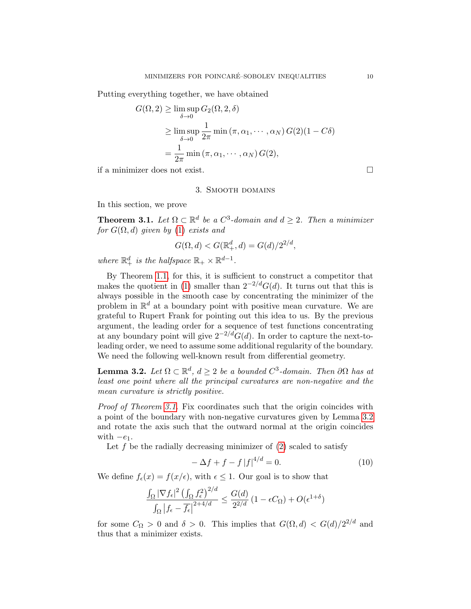Putting everything together, we have obtained

$$
G(\Omega, 2) \ge \limsup_{\delta \to 0} G_2(\Omega, 2, \delta)
$$
  
 
$$
\ge \limsup_{\delta \to 0} \frac{1}{2\pi} \min (\pi, \alpha_1, \cdots, \alpha_N) G(2) (1 - C\delta)
$$
  
= 
$$
\frac{1}{2\pi} \min (\pi, \alpha_1, \cdots, \alpha_N) G(2),
$$

<span id="page-9-0"></span>if a minimizer does not exist.

### 3. Smooth domains

In this section, we prove

<span id="page-9-1"></span>**Theorem 3.1.** Let  $\Omega \subset \mathbb{R}^d$  be a  $C^3$ -domain and  $d \geq 2$ . Then a minimizer for  $G(\Omega, d)$  given by [\(1\)](#page-0-0) exists and

$$
G(\Omega, d) < G(\mathbb{R}^d_+, d) = G(d)/2^{2/d},
$$

where  $\mathbb{R}^d_+$  is the halfspace  $\mathbb{R}_+ \times \mathbb{R}^{d-1}$ .

By Theorem [1.1,](#page-1-1) for this, it is sufficient to construct a competitor that makes the quotient in [\(1\)](#page-0-0) smaller than  $2^{-2/d}G(d)$ . It turns out that this is always possible in the smooth case by concentrating the minimizer of the problem in  $\mathbb{R}^d$  at a boundary point with positive mean curvature. We are grateful to Rupert Frank for pointing out this idea to us. By the previous argument, the leading order for a sequence of test functions concentrating at any boundary point will give  $2^{-2/d}G(d)$ . In order to capture the next-toleading order, we need to assume some additional regularity of the boundary. We need the following well-known result from differential geometry.

<span id="page-9-2"></span>**Lemma 3.2.** Let  $\Omega \subset \mathbb{R}^d$ ,  $d \geq 2$  be a bounded  $C^3$ -domain. Then  $\partial \Omega$  has at least one point where all the principal curvatures are non-negative and the mean curvature is strictly positive.

Proof of Theorem [3.1.](#page-9-1) Fix coordinates such that the origin coincides with a point of the boundary with non-negative curvatures given by Lemma [3.2](#page-9-2) and rotate the axis such that the outward normal at the origin coincides with  $-e_1$ .

Let  $f$  be the radially decreasing minimizer of  $(2)$  scaled to satisfy

<span id="page-9-3"></span>
$$
-\Delta f + f - f |f|^{4/d} = 0. \tag{10}
$$

We define  $f_{\epsilon}(x) = f(x/\epsilon)$ , with  $\epsilon \leq 1$ . Our goal is to show that

$$
\frac{\int_{\Omega} |\nabla f_{\epsilon}|^2 \left( \int_{\Omega} f_{\epsilon}^2 \right)^{2/d}}{\int_{\Omega} \left| f_{\epsilon} - \overline{f_{\epsilon}} \right|^{2+4/d}} \le \frac{G(d)}{2^{2/d}} \left( 1 - \epsilon C_{\Omega} \right) + O(\epsilon^{1+\delta})
$$

for some  $C_{\Omega} > 0$  and  $\delta > 0$ . This implies that  $G(\Omega, d) < G(d)/2^{2/d}$  and thus that a minimizer exists.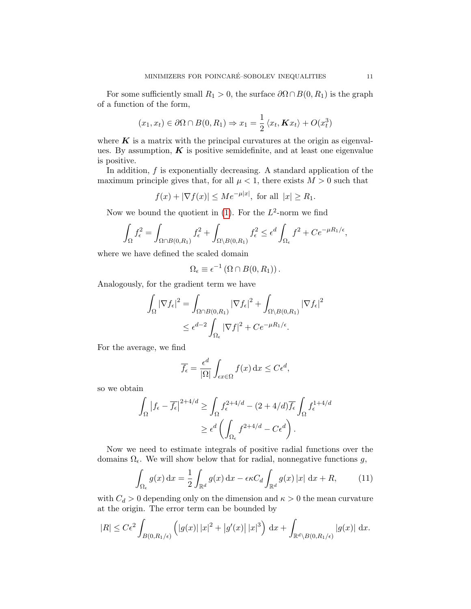For some sufficiently small  $R_1 > 0$ , the surface  $\partial \Omega \cap B(0, R_1)$  is the graph of a function of the form,

$$
(x_1, x_t) \in \partial\Omega \cap B(0, R_1) \Rightarrow x_1 = \frac{1}{2} \langle x_t, \mathbf{K} x_t \rangle + O(x_t^3)
$$

where  $K$  is a matrix with the principal curvatures at the origin as eigenvalues. By assumption,  $K$  is positive semidefinite, and at least one eigenvalue is positive.

In addition, f is exponentially decreasing. A standard application of the maximum principle gives that, for all  $\mu < 1$ , there exists  $M > 0$  such that

 $f(x) + |\nabla f(x)| \le Me^{-\mu|x|}$ , for all  $|x| \ge R_1$ .

Now we bound the quotient in  $(1)$ . For the  $L^2$ -norm we find

$$
\int_{\Omega} f_{\epsilon}^2 = \int_{\Omega \cap B(0,R_1)} f_{\epsilon}^2 + \int_{\Omega \setminus B(0,R_1)} f_{\epsilon}^2 \leq \epsilon^d \int_{\Omega_{\epsilon}} f^2 + C e^{-\mu R_1/\epsilon},
$$

where we have defined the scaled domain

$$
\Omega_{\epsilon} \equiv \epsilon^{-1} (\Omega \cap B(0, R_1)).
$$

Analogously, for the gradient term we have

$$
\int_{\Omega} |\nabla f_{\epsilon}|^2 = \int_{\Omega \cap B(0,R_1)} |\nabla f_{\epsilon}|^2 + \int_{\Omega \setminus B(0,R_1)} |\nabla f_{\epsilon}|^2
$$
  

$$
\leq \epsilon^{d-2} \int_{\Omega_{\epsilon}} |\nabla f|^2 + Ce^{-\mu R_1/\epsilon}.
$$

For the average, we find

$$
\overline{f_{\epsilon}} = \frac{\epsilon^d}{|\Omega|} \int_{\epsilon x \in \Omega} f(x) \, \mathrm{d}x \le C \epsilon^d,
$$

so we obtain

$$
\int_{\Omega} |f_{\epsilon} - \overline{f_{\epsilon}}|^{2+4/d} \ge \int_{\Omega} f_{\epsilon}^{2+4/d} - (2+4/d)\overline{f_{\epsilon}} \int_{\Omega} f_{\epsilon}^{1+4/d}
$$

$$
\ge \epsilon^d \left( \int_{\Omega_{\epsilon}} f^{2+4/d} - C\epsilon^d \right).
$$

Now we need to estimate integrals of positive radial functions over the domains  $\Omega_{\epsilon}$ . We will show below that for radial, nonnegative functions g,

<span id="page-10-0"></span>
$$
\int_{\Omega_{\epsilon}} g(x) dx = \frac{1}{2} \int_{\mathbb{R}^d} g(x) dx - \epsilon \kappa C_d \int_{\mathbb{R}^d} g(x) |x| dx + R,
$$
 (11)

with  $C_d > 0$  depending only on the dimension and  $\kappa > 0$  the mean curvature at the origin. The error term can be bounded by

$$
|R| \leq C\epsilon^2 \int_{B(0,R_1/\epsilon)} \left( |g(x)| \, |x|^2 + |g'(x)| \, |x|^3 \right) \, \mathrm{d}x + \int_{\mathbb{R}^d \setminus B(0,R_1/\epsilon)} |g(x)| \, \mathrm{d}x.
$$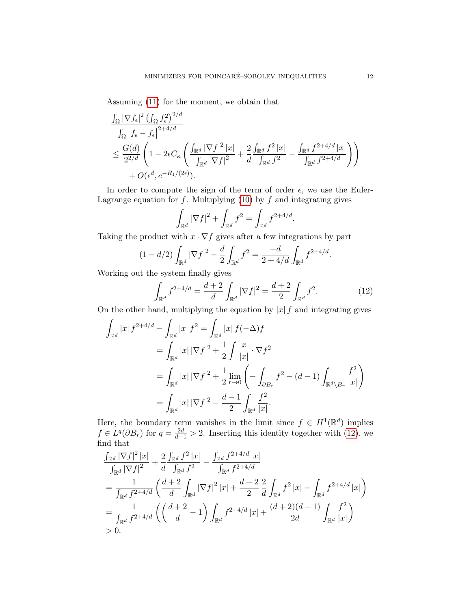Assuming [\(11\)](#page-10-0) for the moment, we obtain that

$$
\frac{\int_{\Omega} |\nabla f_{\epsilon}|^{2} \left( \int_{\Omega} f_{\epsilon}^{2} \right)^{2/d}}{\int_{\Omega} \left| f_{\epsilon} - \overline{f}_{\epsilon} \right|^{2 + 4/d}}\n\leq \frac{G(d)}{2^{2/d}} \left( 1 - 2\epsilon C_{\kappa} \left( \frac{\int_{\mathbb{R}^{d}} |\nabla f|^{2} |x|}{\int_{\mathbb{R}^{d}} |\nabla f|^{2}} + \frac{2}{d} \frac{\int_{\mathbb{R}^{d}} f^{2} |x|}{\int_{\mathbb{R}^{d}} f^{2}} - \frac{\int_{\mathbb{R}^{d}} f^{2 + 4/d} |x|}{\int_{\mathbb{R}^{d}} f^{2 + 4/d}} \right) \right) + O(\epsilon^{d}, e^{-R_{1}/(2\epsilon)}).
$$

In order to compute the sign of the term of order  $\epsilon$ , we use the Euler-Lagrange equation for  $f$ . Multiplying [\(10\)](#page-9-3) by  $f$  and integrating gives

$$
\int_{\mathbb{R}^d} |\nabla f|^2 + \int_{\mathbb{R}^d} f^2 = \int_{\mathbb{R}^d} f^{2+4/d}.
$$

Taking the product with  $x \cdot \nabla f$  gives after a few integrations by part

$$
(1 - d/2) \int_{\mathbb{R}^d} |\nabla f|^2 - \frac{d}{2} \int_{\mathbb{R}^d} f^2 = \frac{-d}{2 + 4/d} \int_{\mathbb{R}^d} f^{2 + 4/d}.
$$

Working out the system finally gives

<span id="page-11-0"></span>
$$
\int_{\mathbb{R}^d} f^{2+4/d} = \frac{d+2}{d} \int_{\mathbb{R}^d} |\nabla f|^2 = \frac{d+2}{2} \int_{\mathbb{R}^d} f^2.
$$
 (12)

On the other hand, multiplying the equation by  $|x| f$  and integrating gives

$$
\int_{\mathbb{R}^d} |x| f^{2+4/d} - \int_{\mathbb{R}^d} |x| f^2 = \int_{\mathbb{R}^d} |x| f(-\Delta) f
$$
\n
$$
= \int_{\mathbb{R}^d} |x| |\nabla f|^2 + \frac{1}{2} \int \frac{x}{|x|} \cdot \nabla f^2
$$
\n
$$
= \int_{\mathbb{R}^d} |x| |\nabla f|^2 + \frac{1}{2} \lim_{r \to 0} \left( - \int_{\partial B_r} f^2 - (d - 1) \int_{\mathbb{R}^d \setminus B_r} \frac{f^2}{|x|} \right)
$$
\n
$$
= \int_{\mathbb{R}^d} |x| |\nabla f|^2 - \frac{d - 1}{2} \int_{\mathbb{R}^d} \frac{f^2}{|x|}.
$$

Here, the boundary term vanishes in the limit since  $f \in H^1(\mathbb{R}^d)$  implies  $f \in L^{q}(\partial B_r)$  for  $q = \frac{2d}{d-1} > 2$ . Inserting this identity together with [\(12\)](#page-11-0), we find that

$$
\frac{\int_{\mathbb{R}^d} |\nabla f|^2 |x|}{\int_{\mathbb{R}^d} |\nabla f|^2} + \frac{2}{d} \frac{\int_{\mathbb{R}^d} f^2 |x|}{\int_{\mathbb{R}^d} f^2} - \frac{\int_{\mathbb{R}^d} f^{2+4/d} |x|}{\int_{\mathbb{R}^d} f^{2+4/d}} \n= \frac{1}{\int_{\mathbb{R}^d} f^{2+4/d}} \left( \frac{d+2}{d} \int_{\mathbb{R}^d} |\nabla f|^2 |x| + \frac{d+2}{2} \frac{2}{d} \int_{\mathbb{R}^d} f^2 |x| - \int_{\mathbb{R}^d} f^{2+4/d} |x| \right) \n= \frac{1}{\int_{\mathbb{R}^d} f^{2+4/d}} \left( \left( \frac{d+2}{d} - 1 \right) \int_{\mathbb{R}^d} f^{2+4/d} |x| + \frac{(d+2)(d-1)}{2d} \int_{\mathbb{R}^d} \frac{f^2}{|x|} \right) \n>0.
$$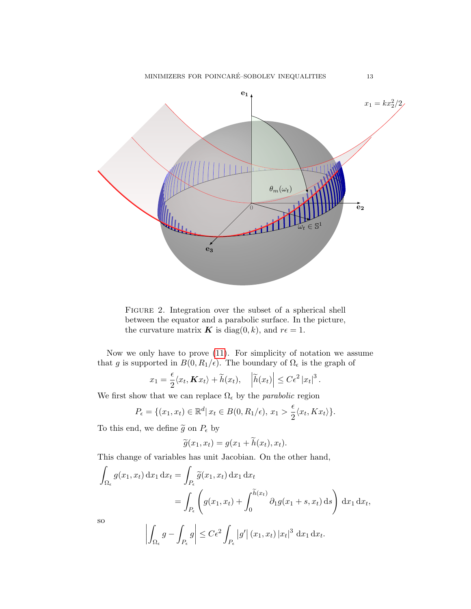<span id="page-12-0"></span>

FIGURE 2. Integration over the subset of a spherical shell between the equator and a parabolic surface. In the picture, the curvature matrix **K** is diag(0, k), and  $r\epsilon = 1$ .

Now we only have to prove [\(11\)](#page-10-0). For simplicity of notation we assume that g is supported in  $B(0, R_1/\epsilon)$ . The boundary of  $\Omega_{\epsilon}$  is the graph of

$$
x_1 = \frac{\epsilon}{2} \langle x_t, \mathbf{K} x_t \rangle + \widetilde{h}(x_t), \quad \left| \widetilde{h}(x_t) \right| \leq C \epsilon^2 |x_t|^3.
$$

We first show that we can replace  $\Omega_{\epsilon}$  by the *parabolic* region

$$
P_{\epsilon} = \{(x_1, x_t) \in \mathbb{R}^d | x_t \in B(0, R_1/\epsilon), x_1 > \frac{\epsilon}{2} \langle x_t, Kx_t \rangle\}.
$$

To this end, we define  $\widetilde{g}$  on  $P_{\epsilon}$  by

$$
\widetilde{g}(x_1, x_t) = g(x_1 + \widetilde{h}(x_t), x_t).
$$

This change of variables has unit Jacobian. On the other hand,

$$
\int_{\Omega_{\epsilon}} g(x_1, x_t) dx_1 dx_t = \int_{P_{\epsilon}} \widetilde{g}(x_1, x_t) dx_1 dx_t
$$
  
\n
$$
= \int_{P_{\epsilon}} \left( g(x_1, x_t) + \int_0^{\widetilde{h}(x_t)} \partial_1 g(x_1 + s, x_t) ds \right) dx_1 dx_t,
$$
  
\nso  
\n
$$
\left| \int_{\Omega_{\epsilon}} g - \int_{P_{\epsilon}} g \right| \leq C\epsilon^2 \int_{P_{\epsilon}} |g'| (x_1, x_t) |x_t|^3 dx_1 dx_t.
$$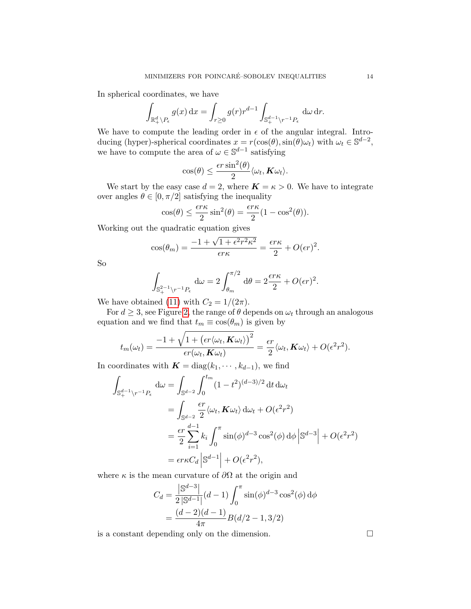In spherical coordinates, we have

$$
\int_{\mathbb{R}_+^d\backslash P_\epsilon} g(x)\,\mathrm{d} x = \int_{r\geq 0} g(r) r^{d-1} \int_{\mathbb{S}_+^{d-1}\backslash r^{-1}P_\epsilon} \,\mathrm{d}\omega\,\mathrm{d} r.
$$

We have to compute the leading order in  $\epsilon$  of the angular integral. Introducing (hyper)-spherical coordinates  $x = r(\cos(\theta), \sin(\theta)\omega_t)$  with  $\omega_t \in \mathbb{S}^{d-2}$ , we have to compute the area of  $\omega \in \mathbb{S}^{d-1}$  satisfying

$$
\cos(\theta) \leq \frac{\epsilon r \sin^2(\theta)}{2} \langle \omega_t, \mathbf{K} \omega_t \rangle.
$$

We start by the easy case  $d = 2$ , where  $\mathbf{K} = \kappa > 0$ . We have to integrate over angles  $\theta \in [0, \pi/2]$  satisfying the inequality

$$
\cos(\theta) \le \frac{\epsilon r \kappa}{2} \sin^2(\theta) = \frac{\epsilon r \kappa}{2} (1 - \cos^2(\theta)).
$$

Working out the quadratic equation gives

$$
\cos(\theta_m) = \frac{-1 + \sqrt{1 + \epsilon^2 r^2 \kappa^2}}{\epsilon r \kappa} = \frac{\epsilon r \kappa}{2} + O(\epsilon r)^2.
$$

So

$$
\int_{\mathbb{S}_+^{2-1}\backslash r^{-1}P_\epsilon} d\omega = 2 \int_{\theta_m}^{\pi/2} d\theta = 2 \frac{\epsilon r \kappa}{2} + O(\epsilon r)^2.
$$

We have obtained [\(11\)](#page-10-0) with  $C_2 = 1/(2\pi)$ .

For  $d \geq 3$ , see Figure [2,](#page-12-0) the range of  $\theta$  depends on  $\omega_t$  through an analogous equation and we find that  $t_m \equiv \cos(\theta_m)$  is given by

$$
t_m(\omega_t) = \frac{-1 + \sqrt{1 + \left(\epsilon r \langle \omega_t, \mathbf{K} \omega_t \rangle\right)^2}}{\epsilon r(\omega_t, \mathbf{K} \omega_t)} = \frac{\epsilon r}{2} \langle \omega_t, \mathbf{K} \omega_t \rangle + O(\epsilon^2 r^2).
$$

In coordinates with  $\mathbf{K} = \text{diag}(k_1, \dots, k_{d-1})$ , we find

$$
\int_{\mathbb{S}_{+}^{d-1}\backslash r^{-1}P_{\epsilon}} d\omega = \int_{\mathbb{S}^{d-2}} \int_{0}^{t_m} (1-t^2)^{(d-3)/2} dt d\omega_t
$$
  
\n
$$
= \int_{\mathbb{S}^{d-2}} \frac{\epsilon r}{2} \langle \omega_t, \mathbf{K} \omega_t \rangle d\omega_t + O(\epsilon^2 r^2)
$$
  
\n
$$
= \frac{\epsilon r}{2} \sum_{i=1}^{d-1} k_i \int_{0}^{\pi} \sin(\phi)^{d-3} \cos^2(\phi) d\phi \left| \mathbb{S}^{d-3} \right| + O(\epsilon^2 r^2)
$$
  
\n
$$
= \epsilon r \kappa C_d \left| \mathbb{S}^{d-1} \right| + O(\epsilon^2 r^2),
$$

where  $\kappa$  is the mean curvature of  $\partial\Omega$  at the origin and

$$
C_d = \frac{|S^{d-3}|}{2|S^{d-1}|}(d-1)\int_0^{\pi} \sin(\phi)^{d-3}\cos^2(\phi)\,d\phi
$$

$$
= \frac{(d-2)(d-1)}{4\pi}B(d/2-1,3/2)
$$

is a constant depending only on the dimension.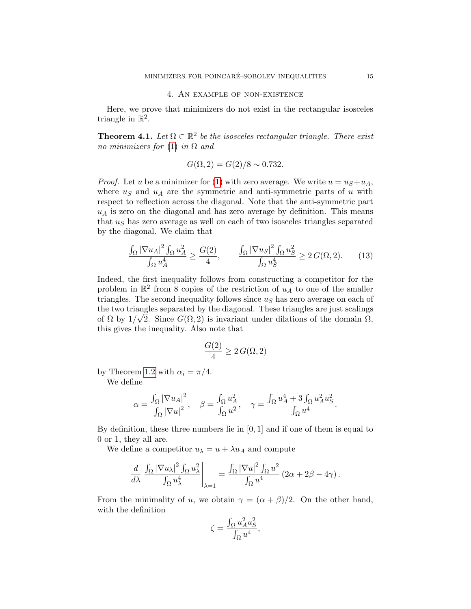## 4. An example of non-existence

<span id="page-14-0"></span>Here, we prove that minimizers do not exist in the rectangular isosceles triangle in  $\mathbb{R}^2$ .

**Theorem 4.1.** Let  $\Omega \subset \mathbb{R}^2$  be the isosceles rectangular triangle. There exist no minimizers for [\(1\)](#page-0-0) in  $\Omega$  and

$$
G(\Omega, 2) = G(2)/8 \sim 0.732.
$$

*Proof.* Let u be a minimizer for [\(1\)](#page-0-0) with zero average. We write  $u = u<sub>S</sub> + u<sub>A</sub>$ , where  $u<sub>S</sub>$  and  $u<sub>A</sub>$  are the symmetric and anti-symmetric parts of u with respect to reflection across the diagonal. Note that the anti-symmetric part  $u_A$  is zero on the diagonal and has zero average by definition. This means that  $u<sub>S</sub>$  has zero average as well on each of two isosceles triangles separated by the diagonal. We claim that

$$
\frac{\int_{\Omega} |\nabla u_{A}|^{2} \int_{\Omega} u_{A}^{2}}{\int_{\Omega} u_{A}^{4}} \ge \frac{G(2)}{4}, \qquad \frac{\int_{\Omega} |\nabla u_{S}|^{2} \int_{\Omega} u_{S}^{2}}{\int_{\Omega} u_{S}^{4}} \ge 2 G(\Omega, 2). \tag{13}
$$

Indeed, the first inequality follows from constructing a competitor for the problem in  $\mathbb{R}^2$  from 8 copies of the restriction of  $u_A$  to one of the smaller triangles. The second inequality follows since  $u<sub>S</sub>$  has zero average on each of the two triangles separated by the diagonal. These triangles are just scalings of  $\Omega$  by  $1/\sqrt{2}$ . Since  $G(\Omega, 2)$  is invariant under dilations of the domain  $\Omega$ , this gives the inequality. Also note that

<span id="page-14-1"></span>
$$
\frac{G(2)}{4} \geq 2\,G(\Omega,2)
$$

by Theorem [1.2](#page-1-2) with  $\alpha_i = \pi/4$ .

We define

$$
\alpha = \frac{\int_{\Omega} |\nabla u_A|^2}{\int_{\Omega} |\nabla u|^2}, \quad \beta = \frac{\int_{\Omega} u_A^2}{\int_{\Omega} u^2}, \quad \gamma = \frac{\int_{\Omega} u_A^4 + 3 \int_{\Omega} u_A^2 u_S^2}{\int_{\Omega} u^4}.
$$

By definition, these three numbers lie in [0, 1] and if one of them is equal to 0 or 1, they all are.

We define a competitor  $u_{\lambda} = u + \lambda u_A$  and compute

$$
\frac{d}{d\lambda} \left. \frac{\int_{\Omega} |\nabla u_{\lambda}|^2 \int_{\Omega} u_{\lambda}^2}{\int_{\Omega} u_{\lambda}^4} \right|_{\lambda=1} = \frac{\int_{\Omega} |\nabla u|^2 \int_{\Omega} u^2}{\int_{\Omega} u^4} \left(2\alpha + 2\beta - 4\gamma\right).
$$

From the minimality of u, we obtain  $\gamma = (\alpha + \beta)/2$ . On the other hand, with the definition

$$
\zeta = \frac{\int_{\Omega} u_A^2 u_S^2}{\int_{\Omega} u^4},
$$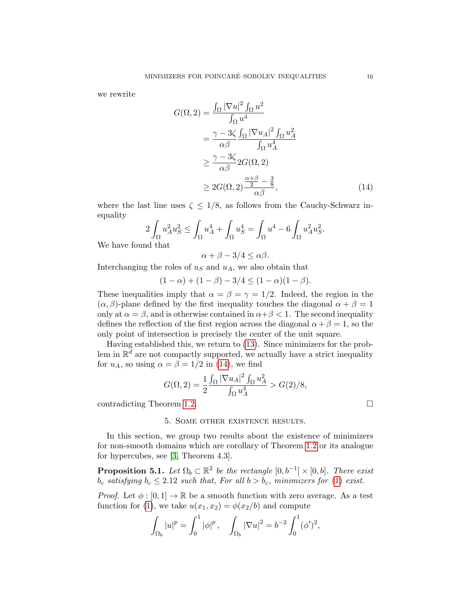we rewrite

$$
G(\Omega, 2) = \frac{\int_{\Omega} |\nabla u|^2 \int_{\Omega} u^2}{\int_{\Omega} u^4}
$$
  
= 
$$
\frac{\gamma - 3\zeta}{\alpha \beta} \frac{\int_{\Omega} |\nabla u_A|^2 \int_{\Omega} u_A^2}{\int_{\Omega} u_A^4}
$$
  

$$
\geq \frac{\gamma - 3\zeta}{\alpha \beta} 2G(\Omega, 2)
$$
  

$$
\geq 2G(\Omega, 2) \frac{\frac{\alpha + \beta}{2} - \frac{3}{8}}{\alpha \beta}, \tag{14}
$$

where the last line uses  $\zeta \leq 1/8$ , as follows from the Cauchy-Schwarz inequality  $\overline{c}$ 

$$
2\int_{\Omega}u_A^2u_S^2 \le \int_{\Omega}u_A^4 + \int_{\Omega}u_S^4 = \int_{\Omega}u^4 - 6\int_{\Omega}u_A^2u_S^2.
$$

We have found that

<span id="page-15-1"></span>
$$
\alpha + \beta - 3/4 \leq \alpha \beta.
$$

Interchanging the roles of  $u<sub>S</sub>$  and  $u<sub>A</sub>$ , we also obtain that

$$
(1 - \alpha) + (1 - \beta) - 3/4 \le (1 - \alpha)(1 - \beta).
$$

These inequalities imply that  $\alpha = \beta = \gamma = 1/2$ . Indeed, the region in the  $(\alpha, \beta)$ -plane defined by the first inequality touches the diagonal  $\alpha + \beta = 1$ only at  $\alpha = \beta$ , and is otherwise contained in  $\alpha + \beta < 1$ . The second inequality defines the reflection of the first region across the diagonal  $\alpha + \beta = 1$ , so the only point of intersection is precisely the center of the unit square.

Having established this, we return to [\(13\)](#page-14-1). Since minimizers for the problem in  $\mathbb{R}^d$  are not compactly supported, we actually have a strict inequality for  $u_A$ , so using  $\alpha = \beta = 1/2$  in [\(14\)](#page-15-1), we find

$$
G(\Omega, 2) = \frac{1}{2} \frac{\int_{\Omega} |\nabla u_A|^2 \int_{\Omega} u_A^2}{\int_{\Omega} u_A^4} > G(2)/8,
$$

<span id="page-15-0"></span>contradicting Theorem [1.2.](#page-1-2)

### 5. Some other existence results.

In this section, we group two results about the existence of minimizers for non-smooth domains which are corollary of Theorem [1.2](#page-1-2) or its analogue for hypercubes, see [\[3,](#page-18-0) Theorem 4.3].

**Proposition 5.1.** Let  $\Omega_b \subset \mathbb{R}^2$  be the rectangle  $[0, b^{-1}] \times [0, b]$ . There exist  $b_c$  satisfying  $b_c \le 2.12$  such that, For all  $b > b_c$ , minimizers for [\(1\)](#page-0-0) exist.

*Proof.* Let  $\phi : [0, 1] \to \mathbb{R}$  be a smooth function with zero average. As a test function for [\(1\)](#page-0-0), we take  $u(x_1, x_2) = \phi(x_2/b)$  and compute

$$
\int_{\Omega_b} |u|^p = \int_0^1 |\phi|^p \,, \quad \int_{\Omega_b} |\nabla u|^2 = b^{-2} \int_0^1 (\phi')^2,
$$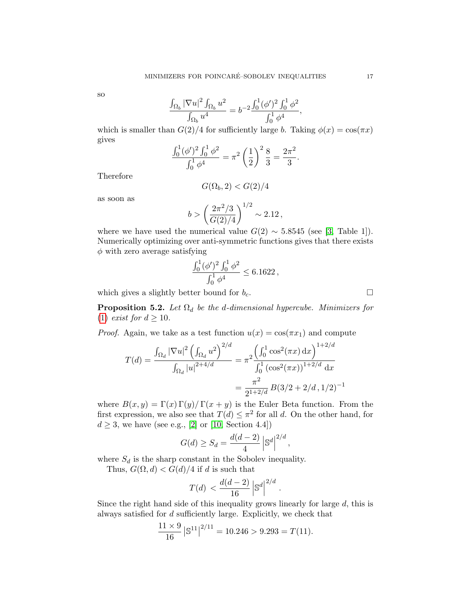so

$$
\frac{\int_{\Omega_b} |\nabla u|^2 \int_{\Omega_b} u^2}{\int_{\Omega_b} u^4} = b^{-2} \frac{\int_0^1 (\phi')^2 \int_0^1 \phi^2}{\int_0^1 \phi^4},
$$

which is smaller than  $G(2)/4$  for sufficiently large b. Taking  $\phi(x) = \cos(\pi x)$ gives

$$
\frac{\int_0^1 (\phi')^2 \int_0^1 \phi^2}{\int_0^1 \phi^4} = \pi^2 \left(\frac{1}{2}\right)^2 \frac{8}{3} = \frac{2\pi^2}{3}.
$$

Therefore

$$
G(\Omega_b, 2) < G(2)/4
$$

as soon as

$$
b > \left(\frac{2\pi^2/3}{G(2)/4}\right)^{1/2} \sim 2.12\,,
$$

where we have used the numerical value  $G(2) \sim 5.8545$  (see [\[3,](#page-18-0) Table 1]). Numerically optimizing over anti-symmetric functions gives that there exists  $\phi$  with zero average satisfying

$$
\frac{\int_0^1 (\phi')^2 \int_0^1 \phi^2}{\int_0^1 \phi^4} \leq 6.1622,
$$

which gives a slightly better bound for  $b_c$ .

**Proposition 5.2.** Let  $\Omega_d$  be the d-dimensional hypercube. Minimizers for [\(1\)](#page-0-0) exist for  $d \geq 10$ .

*Proof.* Again, we take as a test function  $u(x) = \cos(\pi x_1)$  and compute

$$
T(d) = \frac{\int_{\Omega_d} |\nabla u|^2 \left(\int_{\Omega_d} u^2\right)^{2/d}}{\int_{\Omega_d} |u|^{2+4/d}} = \pi^2 \frac{\left(\int_0^1 \cos^2(\pi x) \, dx\right)^{1+2/d}}{\int_0^1 (\cos^2(\pi x))^{1+2/d} \, dx}
$$

$$
= \frac{\pi^2}{2^{1+2/d}} B(3/2 + 2/d, 1/2)^{-1}
$$

where  $B(x, y) = \Gamma(x) \Gamma(y) / \Gamma(x + y)$  is the Euler Beta function. From the first expression, we also see that  $T(d) \leq \pi^2$  for all d. On the other hand, for  $d \geq 3$ , we have (see e.g., [\[2\]](#page-18-4) or [\[10,](#page-19-6) Section 4.4])

$$
G(d) \ge S_d = \frac{d(d-2)}{4} \left| \mathbb{S}^d \right|^{2/d},
$$

where  $S_d$  is the sharp constant in the Sobolev inequality.

Thus,  $G(\Omega, d) < G(d)/4$  if d is such that

$$
T(d) < \frac{d(d-2)}{16} \left| \mathbb{S}^d \right|^{2/d}.
$$

Since the right hand side of this inequality grows linearly for large  $d$ , this is always satisfied for d sufficiently large. Explicitly, we check that

$$
\frac{11 \times 9}{16} |\mathbb{S}^{11}|^{2/11} = 10.246 > 9.293 = T(11).
$$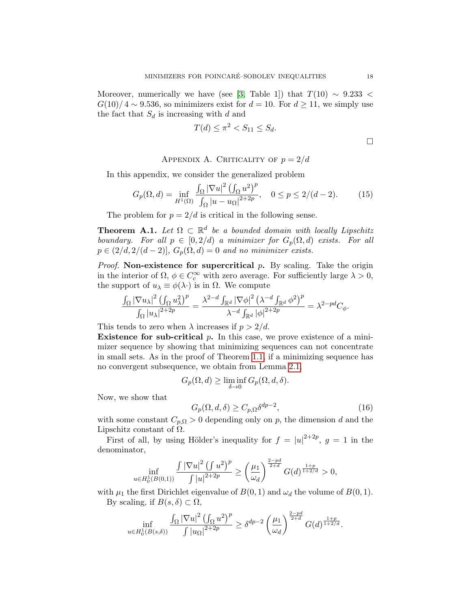Moreover, numerically we have (see [\[3,](#page-18-0) Table 1]) that  $T(10) \sim 9.233$  <  $G(10)/4 \sim 9.536$ , so minimizers exist for  $d = 10$ . For  $d \ge 11$ , we simply use the fact that  $S_d$  is increasing with d and

$$
T(d) \le \pi^2 < S_{11} \le S_d. \tag{}
$$

APPENDIX A. CRITICALITY OF  $p = 2/d$ 

In this appendix, we consider the generalized problem

$$
G_p(\Omega, d) = \inf_{H^1(\Omega)} \frac{\int_{\Omega} |\nabla u|^2 \left(\int_{\Omega} u^2\right)^p}{\int_{\Omega} |u - u_{\Omega}|^{2+2p}}, \quad 0 \le p \le 2/(d-2). \tag{15}
$$

The problem for  $p = 2/d$  is critical in the following sense.

**Theorem A.1.** Let  $\Omega \subset \mathbb{R}^d$  be a bounded domain with locally Lipschitz boundary. For all  $p \in [0, 2/d)$  a minimizer for  $G_p(\Omega, d)$  exists. For all  $p \in (2/d, 2/(d-2)), G_p(\Omega, d) = 0$  and no minimizer exists.

*Proof.* Non-existence for supercritical  $p$ . By scaling. Take the origin in the interior of  $\Omega$ ,  $\phi \in C_c^{\infty}$  with zero average. For sufficiently large  $\lambda > 0$ , the support of  $u_{\lambda} \equiv \phi(\lambda)$  is in  $\Omega$ . We compute

$$
\frac{\int_{\Omega}|\nabla u_{\lambda}|^2\left(\int_{\Omega}u_{\lambda}^2\right)^p}{\int_{\Omega}|u_{\lambda}|^{2+2p}}=\frac{\lambda^{2-d}\int_{\mathbb{R}^d}|\nabla\phi|^2\left(\lambda^{-d}\int_{\mathbb{R}^d}\phi^2\right)^p}{\lambda^{-d}\int_{\mathbb{R}^d}|\phi|^{2+2p}}=\lambda^{2-pd}C_{\phi}.
$$

This tends to zero when  $\lambda$  increases if  $p > 2/d$ .

**Existence for sub-critical p.** In this case, we prove existence of a minimizer sequence by showing that minimizing sequences can not concentrate in small sets. As in the proof of Theorem [1.1,](#page-1-1) if a minimizing sequence has no convergent subsequence, we obtain from Lemma [2.1,](#page-2-1)

$$
G_p(\Omega, d) \ge \liminf_{\delta \to 0} G_p(\Omega, d, \delta).
$$

Now, we show that

<span id="page-17-0"></span>
$$
G_p(\Omega, d, \delta) \ge C_{p,\Omega} \delta^{dp-2},\tag{16}
$$

with some constant  $C_{p,\Omega} > 0$  depending only on p, the dimension d and the Lipschitz constant of  $\Omega$ .

First of all, by using Hölder's inequality for  $f = |u|^{2+2p}$ ,  $g = 1$  in the denominator,

$$
\inf_{u \in H_0^1(B(0,1))} \frac{\int |\nabla u|^2 \left(\int u^2\right)^p}{\int |u|^{2+2p}} \ge \left(\frac{\mu_1}{\omega_d}\right)^{\frac{2-pd}{2+d}} G(d)^{\frac{1+p}{1+2/d}} > 0,
$$

with  $\mu_1$  the first Dirichlet eigenvalue of  $B(0, 1)$  and  $\omega_d$  the volume of  $B(0, 1)$ . By scaling, if  $B(s,\delta) \subset \Omega$ ,

$$
\inf_{u \in H_0^1(B(s,\delta))} \frac{\int_{\Omega} |\nabla u|^2 \left(\int_{\Omega} u^2\right)^p}{\int |u_{\Omega}|^{2+2p}} \ge \delta^{dp-2} \left(\frac{\mu_1}{\omega_d}\right)^{\frac{2-pd}{2+d}} G(d)^{\frac{1+p}{1+2/d}}.
$$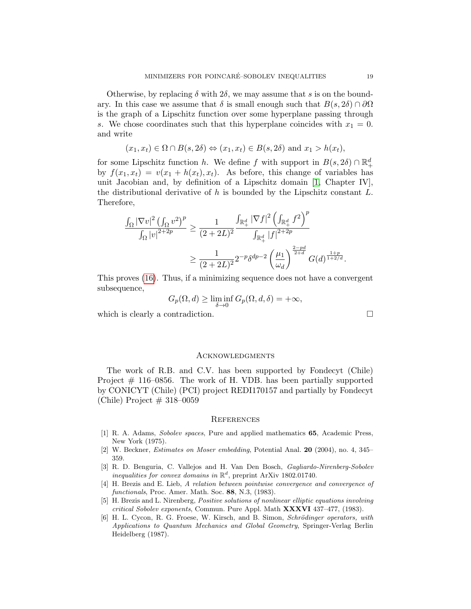Otherwise, by replacing  $\delta$  with  $2\delta$ , we may assume that s is on the boundary. In this case we assume that  $\delta$  is small enough such that  $B(s, 2\delta) \cap \partial\Omega$ is the graph of a Lipschitz function over some hyperplane passing through s. We chose coordinates such that this hyperplane coincides with  $x_1 = 0$ . and write

$$
(x_1, x_t) \in \Omega \cap B(s, 2\delta) \Leftrightarrow (x_1, x_t) \in B(s, 2\delta)
$$
 and  $x_1 > h(x_t)$ ,

for some Lipschitz function h. We define f with support in  $B(s, 2\delta) \cap \mathbb{R}^d_+$ by  $f(x_1, x_t) = v(x_1 + h(x_t), x_t)$ . As before, this change of variables has unit Jacobian and, by definition of a Lipschitz domain [\[1,](#page-18-5) Chapter IV], the distributional derivative of  $h$  is bounded by the Lipschitz constant  $L$ . Therefore,

$$
\frac{\int_{\Omega} |\nabla v|^2 \left(\int_{\Omega} v^2\right)^p}{\int_{\Omega} |v|^{2+2p}} \ge \frac{1}{(2+2L)^2} \frac{\int_{\mathbb{R}_+^d} |\nabla f|^2 \left(\int_{\mathbb{R}_+^d} f^2\right)^p}{\int_{\mathbb{R}_+^d} |f|^{2+2p}} \times \frac{1}{(2+2L)^2} 2^{-p} \delta^{dp-2} \left(\frac{\mu_1}{\omega_d}\right)^{\frac{2-pd}{2+d}} G(d)^{\frac{1+p}{1+2/d}}.
$$

This proves [\(16\)](#page-17-0). Thus, if a minimizing sequence does not have a convergent subsequence,

$$
G_p(\Omega, d) \ge \liminf_{\delta \to 0} G_p(\Omega, d, \delta) = +\infty,
$$

which is clearly a contradiction.  $\Box$ 

### **ACKNOWLEDGMENTS**

The work of R.B. and C.V. has been supported by Fondecyt (Chile) Project  $#$  116–0856. The work of H. VDB. has been partially supported by CONICYT (Chile) (PCI) project REDI170157 and partially by Fondecyt (Chile) Project  $\#$  318–0059

#### **REFERENCES**

- <span id="page-18-5"></span>[1] R. A. Adams, Sobolev spaces, Pure and applied mathematics 65, Academic Press, New York (1975).
- <span id="page-18-4"></span>[2] W. Beckner, Estimates on Moser embedding, Potential Anal. 20 (2004), no. 4, 345– 359.
- <span id="page-18-0"></span>[3] R. D. Benguria, C. Vallejos and H. Van Den Bosch, Gagliardo-Nirenberg-Sobolev inequalities for convex domains in  $\mathbb{R}^d$ , preprint ArXiv 1802.01740.
- <span id="page-18-1"></span>[4] H. Brezis and E. Lieb, A relation between pointwise convergence and convergence of functionals, Proc. Amer. Math. Soc. 88, N.3, (1983).
- <span id="page-18-2"></span>[5] H. Brezis and L. Nirenberg, Positive solutions of nonlinear elliptic equations involving critical Sobolev exponents, Commun. Pure Appl. Math XXXVI 437–477, (1983).
- <span id="page-18-3"></span>[6] H. L. Cycon, R. G. Froese, W. Kirsch, and B. Simon, *Schrödinger operators, with* Applications to Quantum Mechanics and Global Geometry, Springer-Verlag Berlin Heidelberg (1987).